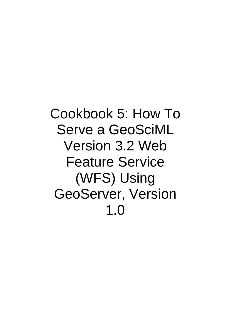Cookbook 5: How To Serve a GeoSciML Version 3.2 Web Feature Service (WFS) Using GeoServer, Version 1.0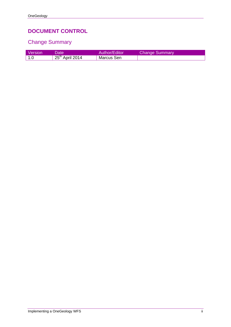### **DOCUMENT CONTROL**

### Change Summary

| <b>Version</b> | Date'             | Author/Editor | <b>Change Summary</b> |
|----------------|-------------------|---------------|-----------------------|
| ∣ 1.0          | $25th$ April 2014 | Marcus Sen    |                       |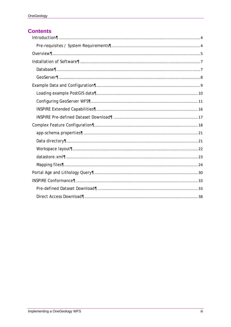#### **Contents**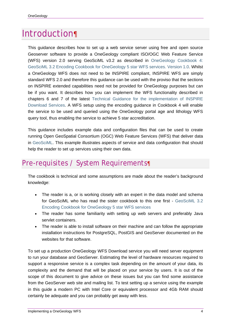# Introduction¶

This guidance describes how to set up a web service server using free and open source Geoserver software to provide a OneGeology compliant ISO/OGC Web Feature Service (WFS) version 2.0 serving GeoSciML v3.2 as described in OneGeology Cookbook 4: GeoSciML 3.2 Encoding Cookbook for OneGeology 5 star WFS services. Version 1.0. Whilst a OneGeology WFS does not need to be INSPIRE compliant, INSPIRE WFS are simply standard WFS 2.0 and therefore this guidance can be used with the proviso that the sections on INSPIRE extended capabilities need not be provided for OneGeology purposes but can be if you want. It describes how you can implement the WFS functionality described in chapters 6 and 7 of the latest Technical Guidance for the implementation of INSPIRE Download Services. A WFS setup using the encoding guidance in Cookbook 4 will enable the service to be used and queried using the OneGeology portal age and lithology WFS query tool, thus enabling the service to achieve 5 star accreditation.

This guidance includes example data and configuration files that can be used to create running Open GeoSpatial Consortium (OGC) Web Feature Services (WFS) that deliver data in GeoSciML. This example illustrates aspects of service and data configuration that should help the reader to set up services using their own data.

## Pre-requisites / System Requirements¶

The cookbook is technical and some assumptions are made about the reader's background knowledge:

- The reader is a, or is working closely with an expert in the data model and schema for GeoSciML who has read the sister cookbook to this one first - GeoSciML 3.2 Encoding Cookbook for OneGeology 5 star WFS services
- The reader has some familiarity with setting up web servers and preferably Java servlet containers.
- The reader is able to install software on their machine and can follow the appropriate installation instructions for PostgreSQL, PostGIS and GeoServer documented on the websites for that software.

To set up a production OneGeology WFS Download service you will need server equipment to run your database and GeoServer. Estimating the level of hardware resources required to support a responsive service is a complex task depending on the amount of your data, its complexity and the demand that will be placed on your service by users. It is out of the scope of this document to give advice on these issues but you can find some assistance from the GeoServer web site and mailing list. To test setting up a service using the example in this guide a modern PC with Intel Core or equivalent processor and 4Gb RAM should certainly be adequate and you can probably get away with less.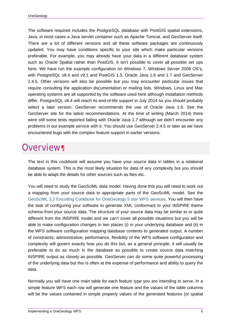The software required includes the PostgreSQL database with PostGIS spatial extensions, Java, in most cases a Java servlet container such as Apache Tomcat, and GeoServer itself. There are a lot of different versions and all these software packages are continuously updated. You may have conditions specific to your site which make particular versions preferable. For example, you may already have your data in a different database system such as Oracle Spatial rather than PostGIS. It isn't possible to cover all possible set ups here. We have run the example configuration on Windows 7, Windows Server 2008 OS's, with PostgreSQL v8.4 and v9.1 and PostGIS 1.5, Oracle Java 1.6 and 1.7 and GeoServer 2.4.5. Other versions will also be possible but you may encounter particular issues that require consulting the application documentation or mailing lists. Windows, Linux and Mac operating systems are all supported by the software used here although installation methods differ. PostgreSQL v8.4 will reach its end-of-life support in July 2014 so you should probably select a later version. GeoServer recommends the use of Oracle Java 1.6. See the GeoServer site for the latest recommendations. At the time of writing (March 2014) there were still some tests reported failing with Oracle Java 1.7 although we didn't encounter any problems in our example service with it. You should use GeoServer 2.4.5 or later as we have encountered bugs with the complex feature support in earlier versions.

## Overview¶

The text in this cookbook will assume you have your source data in tables in a relational database system. This is the most likely situation for data of any complexity but you should be able to adapt the details for other sources such as files etc.

You will need to study the GeoSciML data model. Having done this you will need to work out a mapping from your source data to appropriate parts of the GeoSciML model. See the GeoSciML 3.2 Encoding Cookbook for OneGeology 5 star WFS services. You will then have the task of configuring your software to generate XML conformant to your INSPIRE theme schema from your source data. The structure of your source data may be similar to or quite different from the INSPIRE model and we can't cover all possible situations but you will be able to make configuration changes in two places (i) in your underlying database and (ii) in the WFS software configuration mapping database contents to generated output. A number of constraints; administrative, performance, flexibility of the WFS software configuration and complexity will govern exactly how you do this but, as a general principle, it will usually be preferable to do as much in the database as possible to create source data matching INSPIRE output as closely as possible. GeoServer can do some quite powerful processing of the underlying data but this is often at the expense of performance and ability to query the data.

Normally you will have one main table for each feature type you are intending to serve. In a simple feature WFS each row will generate one feature and the values of the table columns will be the values contained in simple property values of the generated features (or spatial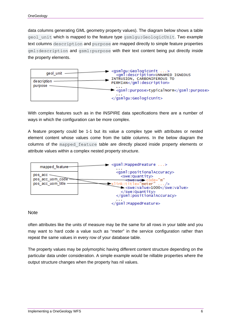data columns generating GML geometry property values). The diagram below shows a table geol unit which is mapped to the feature type gsmlgu:GeologicUnit. Two example text columns description and purpose are mapped directly to simple feature properties gml:description and gsml:purpose with their text content being put directly inside the property elements.



With complex features such as in the INSPIRE data specifications there are a number of ways in which the configuration can be more complex.

A feature property could be 1-1 but its value a complex type with attributes or nested element content whose values come from the table columns. In the below diagram the columns of the mapped\_feature table are directly placed inside property elements or attribute values within a complex nested property structure.



**Note** 

often attributes like the units of measure may be the same for all rows in your table and you may want to hard code a value such as "meter" in the service configuration rather than repeat the same values in every row of your database table.

The property values may be polymorphic having different content structure depending on the particular data under consideration. A simple example would be nillable properties where the output structure changes when the property has nil values.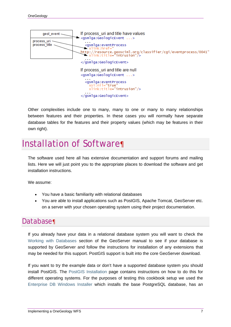

Other complexities include one to many, many to one or many to many relationships between features and their properties. In these cases you will normally have separate database tables for the features and their property values (which may be features in their own right).

## Installation of Software¶

The software used here all has extensive documentation and support forums and mailing lists. Here we will just point you to the appropriate places to download the software and get installation instructions.

We assume:

- You have a basic familiarity with relational databases
- You are able to install applications such as PostGIS, Apache Tomcat, GeoServer etc. on a server with your chosen operating system using their project documentation.

### Database¶

If you already have your data in a relational database system you will want to check the Working with Databases section of the GeoServer manual to see if your database is supported by GeoServer and follow the instructions for installation of any extensions that may be needed for this support. PostGIS support is built into the core GeoServer download.

If you want to try the example data or don't have a supported database system you should install PostGIS. The PostGIS Installation page contains instructions on how to do this for different operating systems. For the purposes of testing this cookbook setup we used the Enterprise DB Windows Installer which installs the base PostgreSQL database, has an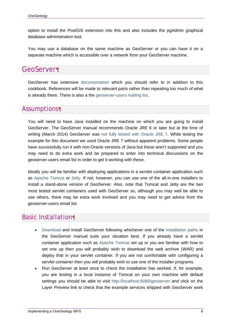option to install the PostGIS extension into this and also includes the pgAdmin graphical database administration tool.

You may use a database on the same machine as GeoServer or you can have it on a separate machine which is accessible over a network from your GeoServer machine.

### GeoServer¶

GeoServer has extensive documentation which you should refer to in addition to this cookbook. References will be made to relevant parts rather than repeating too much of what is already there. There is also a the geoserver-users mailing list.

### Assumptions¶

You will need to have Java installed on the machine on which you are going to install GeoServer. The GeoServer manual recommends Oracle JRE 6 or later but at the time of writing (March 2014) GeoServer was not fully tested with Oracle JRE 7. While testing the example for this document we used Oracle JRE 7 without apparent problems. Some people have successfully run it with non-Oracle versions of Java but these aren't supported and you may need to do extra work and be prepared to enter into technical discussions on the geoserver-users email list in order to get it working with these.

Ideally you will be familiar with deploying applications in a servlet container application such as Apache Tomcat or Jetty. If not, however, you can use one of the all-in-one installers to install a stand-alone version of GeoServer. Also, note that Tomcat and Jetty are the two most tested servlet containers used with GeoServer so, although you may well be able to use others, there may be extra work involved and you may need to get advice from the geoserver-users email list.

### Basic Installation¶

- Download and install GeoServer following whichever one of the installation paths in the GeoServer manual suits your situation best. If you already have a servlet container application such as Apache Tomcat set up or you are familiar with how to set one up then you will probably wish to download the web archive (WAR) and deploy that in your servlet container. If you are not comfortable with configuring a servlet container then you will probably wish to use one of the installer programs.
- Run GeoServer at least once to check the installation has worked. If, for example, you are testing in a local instance of Tomcat on your own machine with default settings you should be able to visit http://localhost:8080/geoserver and click on the *Layer Preview* link to check that the example services shipped with GeoServer work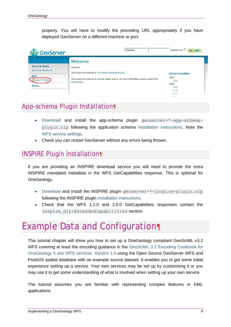properly. You will have to modify the preceding URL appropriately if you have deployed GeoServer on a different machine or port.

| Usemame                                                                                                     | Remember me<br>副<br>Login   |
|-------------------------------------------------------------------------------------------------------------|-----------------------------|
| Welcome                                                                                                     |                             |
| This GeoServer belongs to The ancient geographes INC.                                                       | <b>Service Capabilities</b> |
| This GeoServer instance is running version 2.3.1. For more information please contact the<br>administrator. | GWC<br>1.0.0<br><b>WCS</b>  |
|                                                                                                             | 1.0.0<br>1.1.0<br>1.1.1     |
|                                                                                                             | Welcome                     |

### App-schema Plugin Installation¶

- Download and install the app-schema plugin geoserver-\*-app-schemaplugin.zip following the application schema installation instructions. Note the WFS service settings.
- Check you can restart GeoServer without any errors being thrown.

### INSPIRE Plugin Installation¶

If you are providing an INSPIRE download service you will need to provide the extra INSPIRE mandated metadata in the WFS GetCapabilities response. This is optional for OneGeology.

- Download and install the INSPIRE plugin geoserver-\*-inspire-plugin.zip following the INSPIRE plugin installation instructions.
- Check that the WFS 1.1.0 and 2.0.0 GetCapabilities responses contain the inspire dls:ExtendedCapabilities section.

## Example Data and Configuration¶

This tutorial chapter will show you how to set up a OneGeology compliant GeoSciML v3.2 WFS covering at least the encoding guidance in the GeoSciML 3.2 Encoding Cookbook for OneGeology 5 star WFS services. Version 1.0 using the Open Source GeoServer WFS and PostGIS spatial database with an example source dataset. It enables you to get some initial experience setting up a service. Your own services may be set up by customising it or you may use it to get some understanding of what is involved when setting up your own service.

The tutorial assumes you are familiar with representing complex features in GML applications.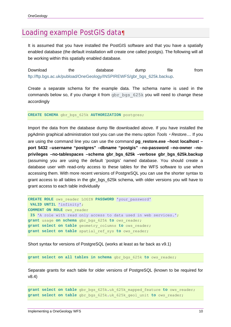### Loading example PostGIS data¶

It is assumed that you have installed the PostGIS software and that you have a spatially enabled database (the default installation will create one called postgis). The following will all be working within this spatially enabled database.

Download the database dump file from ftp://ftp.bgs.ac.uk/pubload/OneGeology/INSPIREWFS/gbr\_bgs\_625k.backup.

Create a separate schema for the example data. The schema name is used in the commands below so, if you change it from gbr bgs 625k you will need to change these accordingly

**CREATE SCHEMA** gbr\_bgs\_625k **AUTHORIZATION** postgres;

Import the data from the database dump file downloaded above. If you have installed the pgAdmin graphical administration tool you can use the menu option *Tools* ‣ *Restore...*. If you are using the command line you can use the command **pg\_restore.exe –host localhost – port 5432 –username "postgres" –dbname "postgis" –no-password –no-owner –noprivileges –no-tablespaces –schema gbr\_bgs\_625k –verbose gbr\_bgs\_625k.backup** (assuming you are using the default 'postgis' named database. You should create a database user with read-only access to these tables for the WFS software to use when accessing them. With more recent versions of PostgreSQL you can use the shorter syntax to grant access to all tables in the gbr\_bgs\_625k schema, with older versions you will have to grant access to each table individually

```
CREATE ROLE ows_reader LOGIN PASSWORD 'your_password' 
VALID UNTIL 'infinity'; 
COMMENT ON ROLE ows_reader 
IS 'A role with read only access to data used in web services.'; 
grant usage on schema gbr_bgs_625k to ows_reader; 
grant select on table geometry_columns to ows_reader; 
grant select on table spatial_ref_sys to ows_reader;
```
Short syntax for versions of PostgreSQL (works at least as far back as v9.1)

**grant select on all tables in schema** gbr\_bgs\_625k **to** ows\_reader;

Separate grants for each table for older versions of PostgreSQL (known to be required for v8.4)

```
grant select on table gbr_bgs_625k.uk_625k_mapped_feature to ows_reader; 
grant select on table gbr_bgs_625k.uk_625k_geol_unit to ows_reader;
```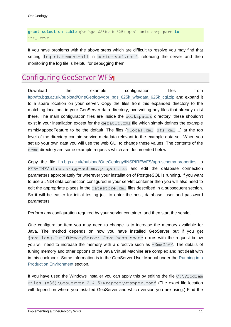**grant select on table** gbr\_bgs\_625k**.**uk\_625k\_geol\_unit\_comp\_part **to** ows reader;

If you have problems with the above steps which are difficult to resolve you may find that setting log statement=all in postgresql.conf, reloading the server and then monitoring the log file is helpful for debugging them.

## Configuring GeoServer WFS¶

Download the example configuration files from ftp://ftp.bgs.ac.uk/pubload/OneGeology/gbr\_bgs\_625k\_wfs/data\_625k\_cgi.zip and expand it to a spare location on your server. Copy the files from this expanded directory to the matching locations in your GeoServer data directory, overwriting any files that already exist there. The main configuration files are inside the workspaces directory, these shouldn't exist in your installation except for the  $\text{default}$ .  $\text{xml}$  file which simply defines the example gsml:MappedFeature to be the default. The files  $(global.xml, wfs.xml,...)$  at the top level of the directory contain service metadata relevant to the example data set. When you set up your own data you will use the web GUI to change these values. The contents of the demo directory are some example requests which are documented below.

Copy the file ftp.bgs.ac.uk/pubload/OneGeology/INSPIREWFS/app-schema.properties to WEB-INF/classes/app-schema.properties and edit the database connection parameters appropriately for wherever your installation of PostgreSQL is running. If you want to use a JNDI data connection configured in your servlet container then you will also need to edit the appropriate places in the datastore.xml files described in a subsequent section. So it will be easier for initial testing just to enter the host, database, user and password parameters.

Perform any configuration required by your servlet container, and then start the servlet.

One configuration item you may need to change is to increase the memory available for Java. The method depends on how you have installed GeoServer but if you get java.lang.OutOfMemoryError: Java heap space errors with the request below you will need to increase the memory with a directive such as  $-xmx256M$ . The details of tuning memory and other options of the Java Virtual Machine are complex and not dealt with in this cookbook. Some information is in the GeoServer User Manual under the Running in a Production Environment section.

If you have used the Windows Installer you can apply this by editing the file  $C:\Per\gamma$ Files  $(x86)$  GeoServer 2.4.5\wrapper\wrapper.conf (The exact file location will depend on where you installed GeoServer and which version you are using.) Find the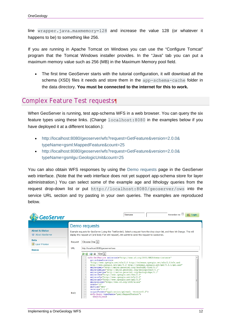line wrapper.java.maxmemory=128 and increase the value 128 (or whatever it happens to be) to something like 256.

If you are running in Apache Tomcat on Windows you can use the "Configure Tomcat" program that the Tomcat Windows installer provides. In the "Java" tab you can put a maximum memory value such as 256 (MB) in the Maximum Memory pool field.

 The first time GeoServer starts with the tutorial configuration, it will download all the schema (XSD) files it needs and store them in the app-schema-cache folder in the data directory. **You must be connected to the internet for this to work.**

### Complex Feature Test requests¶

When GeoServer is running, test app-schema WFS in a web browser. You can query the six feature types using these links. (Change localhost:8080 in the examples below if you have deployed it at a different location.):

- http://localhost:8080/geoserver/wfs?request=GetFeature&version=2.0.0& typeName=gsml:MappedFeature&count=25
- http://localhost:8080/geoserver/wfs?request=GetFeature&version=2.0.0& typeName=gsmlgu:GeologicUnit&count=25

You can also obtain WFS responses by using the Demo requests page in the GeoServer web interface. (Note that the web interface does not yet support app-schema store for layer administration.) You can select some of the example age and lithology queries from the request drop-down list or put http://localhost:8080/geoserver/ows into the service URL section and try pasting in your own queries. The examples are reproduced below.

| <b>GeoServer</b>                                                                             | Remember me<br>Usemame<br>Login                                                                                                                                                                                                                                                                                                                                                                                                                                                                                                                                                                                                                                                                                                                                                                                                                                                                                                                                                                                                                                                                                                                                                                                                                                                                                                                                                                                                                                 |
|----------------------------------------------------------------------------------------------|-----------------------------------------------------------------------------------------------------------------------------------------------------------------------------------------------------------------------------------------------------------------------------------------------------------------------------------------------------------------------------------------------------------------------------------------------------------------------------------------------------------------------------------------------------------------------------------------------------------------------------------------------------------------------------------------------------------------------------------------------------------------------------------------------------------------------------------------------------------------------------------------------------------------------------------------------------------------------------------------------------------------------------------------------------------------------------------------------------------------------------------------------------------------------------------------------------------------------------------------------------------------------------------------------------------------------------------------------------------------------------------------------------------------------------------------------------------------|
| <b>About &amp; Status</b><br>About GeoServer<br>Data<br><b>Laver Preview</b><br><b>Demos</b> | Demo requests<br>Example requests for GeoServer (using the TestServlet). Select a request from the drop down list, and then hit Change. This will<br>display the request url (and body if an xml request). Hit submit to send the request to GeoServer.<br>Choose One<br>Request<br>URL<br>http://localhost.8080/geoserver/ows<br>$\binom{1}{2}$ $\frac{1}{2}$ $\frac{1}{2}$ $\frac{1}{2}$ $\frac{1}{2}$<br><wfs:getfeature <br="" xmlns:xsi="http://www.w3.org/2001/XMLSchema-instance">xsi:schemaLocation=<br/><math>\overline{2}</math><br/>3<br/>"http://www.opengis.net/wfs/2.0 http://schemas.opengis.net/wfs/2.0/wfs.xsd<br/>http://www.opengis.net/gml/3.2 http://schemas.opengis.net/gml/3.2.1/gml.xsd"<br/><math>\overline{4}</math><br/>5<br/>xmlns:gsml="http://xmlns.geosciml.org/GeoSciML-Core/3.1"<br/>6<br/>xmlns:qsmlqu="http://xmlns.qeosciml.org/GeologicUnit/3.1"<br/>xmlns:gsmlga="http://xmlns.geosciml.org/GeologicAge/3.1"<br/>8<br/>xmlns:fes="http://www.opengis.net/fes/2.0"<br/>9<br/>xmlns:wfs="http://www.opengis.net/wfs/2.0"<br/>10<br/>xmlns:gml="http://www.opengis.net/gml/3.2"<br/>11<br/>xmlns:xlink="http://www.w3.org/1999/xlink"<br/>12<br/>count="10"<br/>13<br/>service="WFS"<br/>14<br/><math>version="2.0.0"</math><br/>15<br/>outputFormat="application/gml+xml; version=3.2"&gt;<br/>Body<br/>16<br/><wfs:query typenames="gsml:MappedFeature"><br/>17<br/><fes:filter></fes:filter></wfs:query></wfs:getfeature> |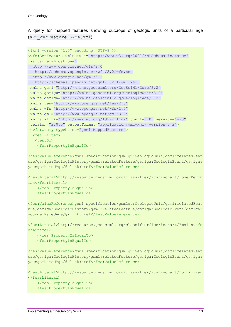A query for mapped features showing outcrops of geologic units of a particular age (WFS\_getFeature1GAge.xml)

```
<?xml version="1.0" encoding="UTF-8"?>
<wfs:GetFeature xmlns:xsi="http://www.w3.org/2001/XMLSchema-instance" 
 xsi:schemaLocation=" 
  http://www.opengis.net/wfs/2.0 
    http://schemas.opengis.net/wfs/2.0/wfs.xsd 
   http://www.opengis.net/gml/3.2 
    http://schemas.opengis.net/gml/3.2.1/gml.xsd" 
 xmlns:gsml="http://xmlns.geosciml.org/GeoSciML-Core/3.2" 
 xmlns:gsmlgu="http://xmlns.geosciml.org/GeologicUnit/3.2" 
 xmlns:gsmlga="http://xmlns.geosciml.org/GeologicAge/3.2" 
 xmlns:fes="http://www.opengis.net/fes/2.0" 
 xmlns:wfs="http://www.opengis.net/wfs/2.0" 
 xmlns:gml="http://www.opengis.net/gml/3.2" 
 xmlns:xlink="http://www.w3.org/1999/xlink" count="10" service="WFS" 
 version="2.0.0" outputFormat="application/gml+xml; version=3.2">
 <wfs:Query typeNames="gsml:MappedFeature">
   <fes:Filter>
    <fes:Or>
     <fes:PropertyIsEqualTo>
```
<fes:ValueReference>gsml:specification/gsmlgu:GeologicUnit/gsml:relatedFeat ure/gsmlga:GeologicHistory/gsml:relatedFeature/gsmlga:GeologicEvent/gsmlga: youngerNamedAge/@xlink:href</fes:ValueReference>

<fes:Literal>http://resource.geosciml.org/classifier/ics/ischart/LowerDevon ian</fes:Literal>

</fes:PropertyIsEqualTo>

<fes:PropertyIsEqualTo>

<fes:ValueReference>gsml:specification/gsmlgu:GeologicUnit/gsml:relatedFeat ure/gsmlga:GeologicHistory/gsml:relatedFeature/gsmlga:GeologicEvent/gsmlga: youngerNamedAge/@xlink:href</fes:ValueReference>

```
<fes:Literal>http://resource.geosciml.org/classifier/ics/ischart/Emsian</fe
s:Literal>
```
 </fes:PropertyIsEqualTo> <fes:PropertyIsEqualTo>

<fes:ValueReference>gsml:specification/gsmlgu:GeologicUnit/gsml:relatedFeat ure/gsmlga:GeologicHistory/gsml:relatedFeature/gsmlga:GeologicEvent/gsmlga: youngerNamedAge/@xlink:href</fes:ValueReference>

```
<fes:Literal>http://resource.geosciml.org/classifier/ics/ischart/Lochkovian
</fes:Literal>
     </fes:PropertyIsEqualTo>
```

```
 <fes:PropertyIsEqualTo>
```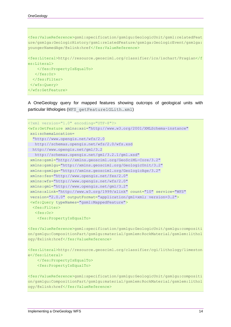<fes:ValueReference>gsml:specification/gsmlgu:GeologicUnit/gsml:relatedFeat ure/gsmlga:GeologicHistory/gsml:relatedFeature/gsmlga:GeologicEvent/gsmlga: youngerNamedAge/@xlink:href</fes:ValueReference>

```
<fes:Literal>http://resource.geosciml.org/classifier/ics/ischart/Pragian</f
es:Literal>
    </fes:PropertyIsEqualTo>
    </fes:Or>
   </fes:Filter>
 </wfs:Query>
</wfs:GetFeature>
```
A OneGeology query for mapped features showing outcrops of geological units with particular lithologies (WFS getFeature1GLith.xml)

```
<?xml version="1.0" encoding="UTF-8"?>
<wfs:GetFeature xmlns:xsi="http://www.w3.org/2001/XMLSchema-instance" 
 xsi:schemaLocation=
   "http://www.opengis.net/wfs/2.0 
   http://schemas.opengis.net/wfs/2.0/wfs.xsd 
  http://www.opengis.net/gml/3.2 
   http://schemas.opengis.net/gml/3.2.1/gml.xsd" 
 xmlns:gsml="http://xmlns.geosciml.org/GeoSciML-Core/3.2" 
 xmlns:gsmlgu="http://xmlns.geosciml.org/GeologicUnit/3.2" 
 xmlns:gsmlga="http://xmlns.geosciml.org/GeologicAge/3.2" 
 xmlns:fes="http://www.opengis.net/fes/2.0" 
 xmlns:wfs="http://www.opengis.net/wfs/2.0" 
 xmlns:gml="http://www.opengis.net/gml/3.2" 
 xmlns:xlink="http://www.w3.org/1999/xlink" count="10" service="WFS" 
 version="2.0.0" outputFormat="application/gml+xml; version=3.2">
 <wfs:Query typeNames="gsml:MappedFeature">
  <fes:Filter>
   <fes:Or>
     <fes:PropertyIsEqualTo>
```
<fes:ValueReference>gsml:specification/gsmlgu:GeologicUnit/gsmlgu:compositi on/gsmlgu:CompositionPart/gsmlgu:material/gsmlem:RockMaterial/gsmlem:lithol ogy/@xlink:href</fes:ValueReference>

```
<fes:Literal>http://resource.geosciml.org/classifier/cgi/lithology/limeston
e</fes:Literal>
```

```
 </fes:PropertyIsEqualTo>
 <fes:PropertyIsEqualTo>
```
<fes:ValueReference>gsml:specification/gsmlgu:GeologicUnit/gsmlgu:compositi on/gsmlgu:CompositionPart/gsmlgu:material/gsmlem:RockMaterial/gsmlem:lithol ogy/@xlink:href</fes:ValueReference>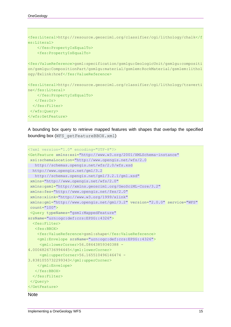```
<fes:Literal>http://resource.geosciml.org/classifier/cgi/lithology/chalk</f
es:Literal>
     </fes:PropertyIsEqualTo>
     <fes:PropertyIsEqualTo>
<fes:ValueReference>gsml:specification/gsmlgu:GeologicUnit/gsmlgu:compositi
on/gsmlgu:CompositionPart/gsmlgu:material/gsmlem:RockMaterial/gsmlem:lithol
ogy/@xlink:href</fes:ValueReference>
<fes:Literal>http://resource.geosciml.org/classifier/cgi/lithology/traverti
ne</fes:Literal>
```

```
 </fes:PropertyIsEqualTo>
    </fes:Or>
  </fes:Filter>
</wfs:Query>
</wfs:GetFeature>
```
A bounding box query to retrieve mapped features with shapes that overlap the specified bounding box (WFS getFeatureBBOX.xml)

```
<?xml version="1.0" encoding="UTF-8"?>
<GetFeature xmlns:xsi="http://www.w3.org/2001/XMLSchema-instance" 
 xsi:schemaLocation="http://www.opengis.net/wfs/2.0 
    http://schemas.opengis.net/wfs/2.0/wfs.xsd 
  http://www.opengis.net/gml/3.2 
   http://schemas.opengis.net/gml/3.2.1/gml.xsd" 
 xmlns="http://www.opengis.net/wfs/2.0" 
 xmlns:gsml="http://xmlns.geosciml.org/GeoSciML-Core/3.2" 
 xmlns:fes="http://www.opengis.net/fes/2.0" 
 xmlns:xlink="http://www.w3.org/1999/xlink" 
 xmlns:gml="http://www.opengis.net/gml/3.2" version="2.0.0" service="WFS" 
 count="100">
 <Query typeNames="gsml:MappedFeature" 
srsName="urn:ogc:def:crs:EPSG::4326">
  <fes:Filter>
    <fes:BBOX>
     <fes:ValueReference>gsml:shape</fes:ValueReference>
     <gml:Envelope srsName="urn:ogc:def:crs:EPSG::4326">
      <gml:lowerCorner>56.08643859340388 -
4.0004826736994445</gml:lowerCorner>
      <gml:upperCorner>56.165510496146474 -
3.8381055732299343</gml:upperCorner>
     </gml:Envelope>
    </fes:BBOX>
   </fes:Filter>
</Query>
</GetFeature>
```
#### **Note**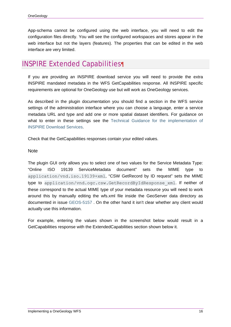App-schema cannot be configured using the web interface, you will need to edit the configuration files directly. You will see the configured workspaces and stores appear in the web interface but not the layers (features). The properties that can be edited in the web interface are very limited.

## INSPIRE Extended Capabilities¶

If you are providing an INSPIRE download service you will need to provide the extra INSPIRE mandated metadata in the WFS GetCapabilities response. All INSPIRE specific requirements are optional for OneGeology use but will work as OneGeology services.

As described in the plugin documentation you should find a section in the WFS service settings of the administration interface where you can choose a language, enter a service metadata URL and type and add one or more spatial dataset identifiers. For guidance on what to enter in these settings see the Technical Guidance for the implementation of INSPIRE Download Services.

Check that the GetCapabilities responses contain your edited values.

**Note** 

The plugin GUI only allows you to select one of two values for the Service Metadata Type: "Online ISO 19139 ServiceMetadata document" sets the MIME type to application/vnd.iso.19139+xml, "CSW GetRecord by ID request" sets the MIME type to application/vnd.ogc.csw.GetRecordByIdResponse\_xml. If neither of these correspond to the actual MIME type of your metadata resource you will need to work around this by manually editing the wfs.xml file inside the GeoServer data directory as documented in issue GEOS-5157 . On the other hand it isn't clear whether any client would actually use this information.

For example, entering the values shown in the screenshot below would result in a GetCapabilities response with the ExtendedCapabilities section shown below it.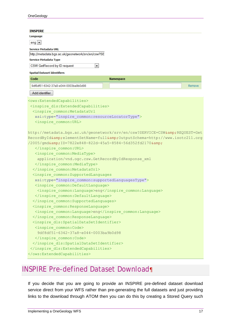| <b>INSPIRE</b>                                                          |        |  |  |  |
|-------------------------------------------------------------------------|--------|--|--|--|
| Language                                                                |        |  |  |  |
| $eng$ $\blacktriangleright$                                             |        |  |  |  |
| <b>Service Metadata URL</b>                                             |        |  |  |  |
| http://metadata.bgs.ac.uk/geonetwork/srv/en/csw?SE                      |        |  |  |  |
| Service Metadata Type                                                   |        |  |  |  |
| CSW GetRecord by ID request<br>۰,                                       |        |  |  |  |
| <b>Spatial Dataset Identifiers</b>                                      |        |  |  |  |
| Code<br>Namespace                                                       |        |  |  |  |
| 9df8df51-6342-37a8-e044-0003ba9b0d98                                    | Remove |  |  |  |
| Add identifier                                                          |        |  |  |  |
|                                                                         |        |  |  |  |
| <ows:extendedcapabilities></ows:extendedcapabilities>                   |        |  |  |  |
| <inspire capabilities="" dls:="" extended=""></inspire>                 |        |  |  |  |
| <inspire common:="" metadataurl<="" td=""><th></th></inspire>           |        |  |  |  |
| xsi:type="inspire common: resourceLocatorType">                         |        |  |  |  |
| <inspire common:="" url=""></inspire>                                   |        |  |  |  |
|                                                                         |        |  |  |  |
| http://metadata.bgs.ac.uk/geonetwork/srv/en/csw?SERVICE=CSW&REQUEST=Get |        |  |  |  |
| RecordById&elementSetName=full&OutputSchema=http://www.isotc211.org     |        |  |  |  |
| /2005/gmd&ID=7822e848-822d-45a5-8584-56d352fd2170&                      |        |  |  |  |
|                                                                         |        |  |  |  |
| <inspire common:="" mediatype=""></inspire>                             |        |  |  |  |
| application/vnd.ogc.csw.GetRecordByIdResponse xml                       |        |  |  |  |
|                                                                         |        |  |  |  |
|                                                                         |        |  |  |  |
| <inspire common:="" supportedlanguages<="" td=""><th></th></inspire>    |        |  |  |  |
| xsi:type="inspire common:supportedLanguagesType">                       |        |  |  |  |
| <inspire common:="" defaultlanguage=""></inspire>                       |        |  |  |  |
| <inspire common:language="">eng</inspire>                               |        |  |  |  |
|                                                                         |        |  |  |  |
|                                                                         |        |  |  |  |
| <inspire common:="" responselanguage=""></inspire>                      |        |  |  |  |
| <inspire common:language="">eng</inspire>                               |        |  |  |  |
|                                                                         |        |  |  |  |
| <inspire dls:spatialdatasetidentifier=""></inspire>                     |        |  |  |  |
| <inspire code="" common:=""></inspire>                                  |        |  |  |  |
| 9df8df51-6342-37a8-e044-0003ba9b0d98                                    |        |  |  |  |
|                                                                         |        |  |  |  |
|                                                                         |        |  |  |  |
|                                                                         |        |  |  |  |
|                                                                         |        |  |  |  |

## INSPIRE Pre-defined Dataset Download¶

If you decide that you are going to provide an INSPIRE pre-defined dataset download service direct from your WFS rather than pre-generating the full datasets and just providing links to the download through ATOM then you can do this by creating a Stored Query such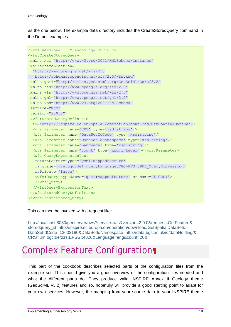as the one below. The example data directory includes the CreateStoredQuery command in the Demos examples.

```
<?xml version="1.0" encoding="UTF-8"?>
<wfs:CreateStoredQuery
xmlns:xsi="http://www.w3.org/2001/XMLSchema-instance" 
xsi:schemaLocation=
  "http://www.opengis.net/wfs/2.0 
   http://schemas.opengis.net/wfs/2.0/wfs.xsd" 
xmlns:gsml="http://xmlns.geosciml.org/GeoSciML-Core/3.2" 
xmlns:fes="http://www.opengis.org/fes/2.0" 
xmlns:wfs="http://www.opengis.net/wfs/2.0" 
xmlns:gml="http://www.opengis.net/gml/3.2" 
xmlns:xsd="http://www.w3.org/2001/XMLSchema" 
service="WFS" 
version="2.0.0">
 <wfs:StoredQueryDefinition
   id='http://inspire.ec.europa.eu/operation/download/GetSpatialDataSet'>
  <wfs:Parameter name='CRS' type='xsd:string'/>
  <wfs:Parameter name='DataSetIdCode' type='xsd:string'/>
  <wfs:Parameter name='DataSetIdNamespace' type='xsd:string'/>
  <wfs:Parameter name='Language' type='xsd:string'/>
  <wfs:Parameter name="count" type="xsd:integer"></wfs:Parameter>
  <wfs:QueryExpressionText
   returnFeatureTypes='gsml:MappedFeature' 
   language='urn:ogc:def:queryLanguage:OGC-WFS::WFS_QueryExpression' 
   isPrivate='false'>
   <wfs:Query typeNames='gsml:MappedFeature' srsName="${CRS}">
   </wfs:Query>
  </wfs:QueryExpressionText>
</wfs:StoredQueryDefinition>
</wfs:CreateStoredQuery>
```
This can then be invoked with a request like:

http://localhost:8080/geoserver/ows?service=wfs&version=2.0.0&request=GetFeature& storedquery\_id=http://inspire.ec.europa.eu/operation/download/GetSpatialDataSet& DataSetIdCode=13603180&DataSetIdNamespace=http://data.bgs.ac.uk/id/dataHolding/& CRS=urn:ogc:def:crs:EPSG::4326&Language=eng&count=20&

## Complex Feature Configuration¶

This part of the cookbook describes selected parts of the configuration files from the example set. This should give you a good overview of the configuration files needed and what the different parts do. They produce valid INSPIRE Annex II Geology theme (GeoSciML v3.2) features and so, hopefully will provide a good starting point to adapt for your own services. However, the mapping from your source data to your INSPIRE theme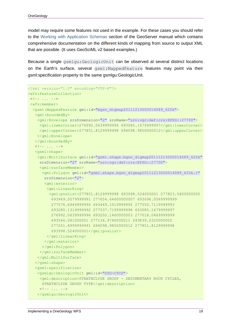model may require some features not used in the example. For these cases you should refer to the Working with Application Schemas section of the GeoServer manual which contains comprehensive documentation on the different kinds of mapping from source to output XML that are possible. (It uses GeoSciML v2 based examples.)

Because a single gsmlgu:GeologicUnit can be observed at several distinct locations on the Earth's surface, several gsml:MappedFeature features may point via their gsml:specification property to the same gsmlgu:GeologicUnit.

```
<?xml version="1.0" encoding="UTF-8"?>
<wfs:FeatureCollection>
 <!-- ... -->
 <wfs:member>
   <gsml:MappedFeature gml:id="bgsn_digmap20111213000014089_625k">
    <gml:boundedBy>
     <gml:Envelope srsDimension="2" srsName="urn:ogc:def:crs:EPSG::27700">
     <gml:lowerCorner>276992.0639999996 693085.1679999997</gml:lowerCorner>
      <gml:upperCorner>277851.8129999998 694098.9850000012</gml:upperCorner>
     </gml:Envelope>
    </gml:boundedBy>
    <!-- ... -->
    <gsml:shape>
     <gml:MultiSurface gml:id="gsml.shape.bgsn_digmap20111213000014089_625k" 
      srsDimension="2" srsName="urn:ogc:def:crs:EPSG::27700">
      <gml:surfaceMember>
       <gml:Polygon gml:id="gsml.shape.bgsn_digmap20111213000014089_625k.1" 
        srsDimension="2">
        <gml:exterior>
         <gml:LinearRing>
          <gml:posList>277851.8129999998 693998.524000001 277823.5400000005 
           693969.0079999991 277654.64600000007 693696.0569999999 
           277576.6949999996 693449.1019999995 277550.7119999993 
           693280.1319999992 277537.7199999998 693085.1679999997 
           276992.0639999996 693202.1460000003 277018.0469999999 
           693566.081000001 277134.9740000011 693839.0320000002 
           277251.8999999991 694098.9850000012 277851.8129999998 
           693998.524000001</gml:posList>
         </gml:LinearRing>
        </gml:exterior>
       </gml:Polygon>
      </gml:surfaceMember>
     </gml:MultiSurface>
    </gsml:shape>
    <gsml:specification>
     <gsmlgu:GeologicUnit gml:id="SYG-CYCS">
      <gml:description>STRATHCLYDE GROUP - SEDIMENTARY ROCK CYCLES, 
       STRATHCLYDE GROUP TYPE</gml:description>
      <!-- ... -->
     </gsmlgu:GeologicUnit>
```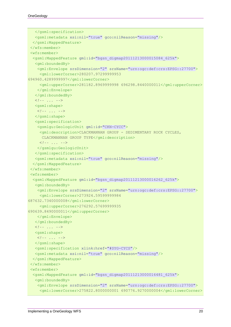```
 </gsml:specification>
    <gsml:metadata xsi:nil="true" gco:nilReason="missing"/>
  </gsml:MappedFeature>
</wfs:member>
<wfs:member>
  <gsml:MappedFeature gml:id="bgsn_digmap20111213000015084_625k">
   <gml:boundedBy>
     <gml:Envelope srsDimension="2" srsName="urn:ogc:def:crs:EPSG::27700">
      <gml:lowerCorner>280207.97299999953 
694960.4289999997</gml:lowerCorner>
      <gml:upperCorner>281182.8969999998 696298.8440000011</gml:upperCorner>
     </gml:Envelope>
    </gml:boundedBy>
    <!-- ... -->
   <gsml:shape>
    <!-- ... -->
    </gsml:shape>
    <gsml:specification>
    <gsmlgu:GeologicUnit gml:id="CKN-CYCC">
     <gml:description>CLACKMANNAN GROUP - SEDIMENTARY ROCK CYCLES, 
       CLACKMANNAN GROUP TYPE</gml:description>
      <!-- ... -->
     </gsmlgu:GeologicUnit>
    </gsml:specification>
    <gsml:metadata xsi:nil="true" gco:nilReason="missing"/>
  </gsml:MappedFeature>
 </wfs:member>
 <wfs:member>
  <gsml:MappedFeature gml:id="bgsn_digmap20111213000016262_625k">
   <gml:boundedBy>
     <gml:Envelope srsDimension="2" srsName="urn:ogc:def:crs:EPSG::27700">
      <gml:lowerCorner>273924.59599999984 
687632.7340000008</gml:lowerCorner>
     <gml:upperCorner>276292.57699999935 
690639.8490000011</gml:upperCorner>
    </gml:Envelope>
    </gml:boundedBy>
   <!-- ... -->
   <gsml:shape>
    <!-- ... -->
   </gsml:shape>
   <gsml:specification xlink:href="#SYG-CYCS"/>
    <gsml:metadata xsi:nil="true" gco:nilReason="missing"/>
  </gsml:MappedFeature>
</wfs:member>
 <wfs:member>
  <gsml:MappedFeature gml:id="bgsn_digmap20111213000016481_625k">
    <gml:boundedBy>
     <gml:Envelope srsDimension="2" srsName="urn:ogc:def:crs:EPSG::27700">
      <gml:lowerCorner>275822.8000000001 690776.9270000004</gml:lowerCorner>
```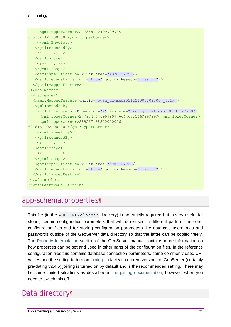```
 <gml:upperCorner>277358.40499999985 
693332.1230000001</gml:upperCorner>
    </gml:Envelope>
   </gml:boundedBy>
    <!-- ... -->
   <gsml:shape>
    <!-- ... -->
   </gsml:shape>
   <gsml:specification xlink:href="#SYG-CYCS"/>
   <gsml:metadata xsi:nil="true" gco:nilReason="missing"/>
  </gsml:MappedFeature>
</wfs:member>
<wfs:member>
  <gsml:MappedFeature gml:id="bgsn_digmap20111213000023007_625k">
   <gml:boundedBy>
     <gml:Envelope srsDimension="2" srsName="urn:ogc:def:crs:EPSG::27700">
     <gml:lowerCorner>247904.646999999 664467.5469999999</gml:lowerCorner>
     <gml:upperCorner>289537.88300000026 
697616.4020000009</gml:upperCorner>
    </gml:Envelope>
    </gml:boundedBy>
    <!-- ... -->
   <gsml:shape>
    <!-- ... -->
   </gsml:shape>
   <gsml:specification xlink:href="#CKN-CYCC"/>
   <gsml:metadata xsi:nil="true" gco:nilReason="missing"/>
  </gsml:MappedFeature>
</wfs:member>
</wfs:FeatureCollection>
```
### app-schema.properties¶

This file (in the WEB-INF/classes directory) is not strictly required but is very useful for storing certain configuration parameters that will be re-used in different parts of the other configuration files and for storing configuration parameters like database usernames and passwords outside of the GeoServer data directory so that the latter can be copied freely. The Property Interpolation section of the GeoServer manual contains more information on how properties can be set and used in other parts of the configuration files. In the reference configuration files this contains database connection parameters, some commonly used URI values and the setting to turn on joining. In fact with current versions of GeoServer (certainly pre-dating v2.4.5) joining is turned on by default and is the recommended setting. There may be some limited situations as described in the joining documentation, however, when you need to switch this off.

## Data directory¶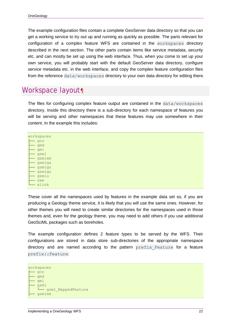The example configuration files contain a complete GeoServer data directory so that you can get a working service to try out up and running as quickly as possible. The parts relevant for configuration of a complex feature WFS are contained in the workspaces directory described in the next section. The other parts contain items like service metadata, security etc. and can mostly be set up using the web interface. Thus, when you come to set up your own service, you will probably start with the default GeoServer data directory, configure service metadata etc. in the web interface, and copy the complex feature configuration files from the reference data/workspaces directory to your own data directory for editing there.

### Workspace layout¶

The files for configuring complex feature output are contained in the data/workspaces directory. Inside this directory there is a sub-directory for each namespace of features you will be serving and other namespaces that these features may use somewhere in their content. In the example this includes:

| workspaces |
|------------|
| aco        |
| qmd        |
| cm1        |
| gsml       |
| gsmlem     |
| gsmlga     |
| gsmlgs     |
| gsmlgu     |
| gsmlu      |
| swe        |
| xlink      |

These cover all the namespaces used by features in the example data set so, if you are producing a Geology theme service, it is likely that you will use the same ones. However, for other themes you will need to create similar directories for the namespaces used in those themes and, even for the geology theme, you may need to add others if you use additional GeoSciML packages such as boreholes.

The example configuration defines 2 feature types to be served by the WFS. Their configurations are stored in data store sub-directories of the appropriate namespace directory and are named according to the pattern prefix Feature for a feature prefix::Feature:

```
workspaces 
     ├── gco 
    ├── gmd 
    ├── gml 
      ├── gsml 
      │ └── gsml_MappedFeature 
     ├── gsmlem
```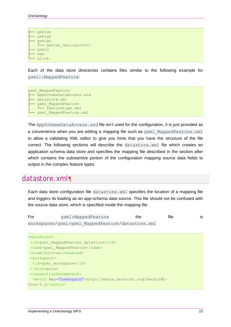```
gsmlga
gsmlgs
gsmlgu
 │ └── gsmlgu_GeologicUnit 
├── gsmlu 
swe
xlink
```
Each of the data store directories contains files similar to the following example for gsml::MappedFeature:

```
gsml_MappedFeature 
  - AppSchemaDataAccess.xsd
  - datastore.xml
   gsml MappedFeature
    │ └── featuretype.xml 
   - gsml MappedFeature.xml
```
The AppSchemaDataAccess.xsd file isn't used for the configuration, it is just provided as a convenience when you are editing a mapping file such as gsml MappedFeature.xml to allow a validating XML editor to give you hints that you have the structure of the file correct. The following sections will describe the datastore.xml file which creates an application schema data store and specifies the mapping file described in the section after which contains the substantive portion of the configuration mapping source data fields to output in the complex feature types.

### datastore.xml¶

Each data store configuration file datastore. xml specifies the location of a mapping file and triggers its loading as an app-schema data source. This file should not be confused with the source data store, which is specified inside the mapping file.

```
For gsml:MappedFeature the file is
workspaces/gsml/gsml_MappedFeature/datastore.xml
```

```
<dataStore>
 <id>gsml_MappedFeature_datastore</id>
 <name>gsml_MappedFeature</name>
 <enabled>true</enabled>
 <workspace>
  <id>gsml_workspace</id>
 </workspace>
<connectionParameters>
  <entry key="namespace">http://xmlns.geosciml.org/GeoSciML-
Core/3.2</entry>
```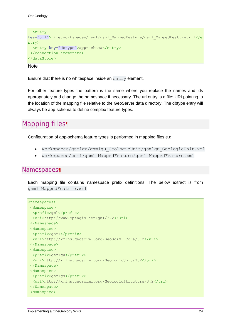```
 <entry
key="url">file:workspaces/gsml/gsml_MappedFeature/gsml_MappedFeature.xml</e
ntry>
   <entry key="dbtype">app-schema</entry>
</connectionParameters>
</dataStore>
```
#### **Note**

Ensure that there is no whitespace inside an entry element.

For other feature types the pattern is the same where you replace the names and ids appropriately and change the namespace if necessary. The url entry is a file: URI pointing to the location of the mapping file relative to the GeoServer data directory. The dbtype entry will always be app-schema to define complex feature types.

## Mapping files¶

Configuration of app-schema feature types is performed in mapping files e.g.

- workspaces/gsmlgu/gsmlgu\_GeologicUnit/gsmlgu\_GeologicUnit.xml
- workspaces/gsml/gsml\_MappedFeature/gsml\_MappedFeature.xml

#### Namespaces¶

Each mapping file contains namespace prefix definitions. The below extract is from gsml\_MappedFeature.xml

```
<namespaces>
 <Namespace>
  <prefix>gml</prefix>
   <uri>http://www.opengis.net/gml/3.2</uri>
 </Namespace>
 <Namespace>
  <prefix>gsml</prefix>
  <uri>http://xmlns.geosciml.org/GeoSciML-Core/3.2</uri>
 </Namespace>
 <Namespace>
  <prefix>gsmlgu</prefix>
  <uri>http://xmlns.geosciml.org/GeologicUnit/3.2</uri>
 </Namespace>
 <Namespace>
  <prefix>gsmlgs</prefix>
   <uri>http://xmlns.geosciml.org/GeologicStructure/3.2</uri>
 </Namespace>
 <Namespace>
```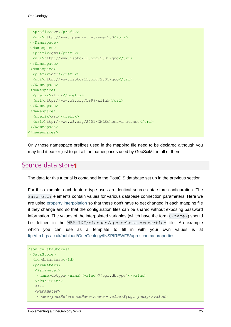```
 <prefix>swe</prefix>
  <uri>http://www.opengis.net/swe/2.0</uri>
 </Namespace>
 <Namespace>
  <prefix>gmd</prefix>
  <uri>http://www.isotc211.org/2005/gmd</uri>
</Namespace>
<Namespace>
  <prefix>gco</prefix>
  <uri>http://www.isotc211.org/2005/gco</uri>
 </Namespace>
<Namespace>
  <prefix>xlink</prefix>
  <uri>http://www.w3.org/1999/xlink</uri>
</Namespace>
<Namespace>
  <prefix>xsi</prefix>
  <uri>http://www.w3.org/2001/XMLSchema-instance</uri>
</Namespace>
</namespaces>
```
Only those namespace prefixes used in the mapping file need to be declared although you may find it easier just to put all the namespaces used by GeoSciML in all of them.

### Source data store¶

The data for this tutorial is contained in the PostGIS database set up in the previous section.

For this example, each feature type uses an identical source data store configuration. The Parameter elements contain values for various database connection parameters. Here we are using property interpolation so that these don't have to get changed in each mapping file if they change and so that the configuration files can be shared without exposing password information. The values of the interpolated variables (which have the form  $\frac{1}{2}$  {name}) should be defined in the WEB-INF/classes/app-schema.properties file. An example which you can use as a template to fill in with your own values is at ftp://ftp.bgs.ac.uk/pubload/OneGeology/INSPIREWFS/app-schema.properties.

```
<sourceDataStores>
<DataStore>
  <id>datastore</id>
  <parameters>
    <Parameter>
    <name>dbtype</name><value>${cgi.dbtype}</value>
    </Parameter>
   \langle l - - <Parameter>
     <name>jndiReferenceName</name><value>${cgi.jndi}</value>
```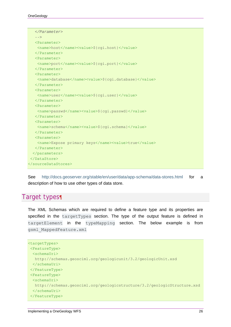| $--&>$                                                |
|-------------------------------------------------------|
| <parameter></parameter>                               |
| <name>host</name> <value>\${cgi.host}</value>         |
|                                                       |
| <parameter></parameter>                               |
| <name>port</name> <value>\${cqi.port}</value>         |
|                                                       |
| $<$ Parameter>                                        |
| <name>database</name> <value>\${cgi.database}</value> |
|                                                       |
| <parameter></parameter>                               |
| <name>user</name> <value>\${cqi.user}</value>         |
|                                                       |
| <parameter></parameter>                               |
| <name>passwd</name> <value>\${cgi.passwd}</value>     |
|                                                       |
| $<$ Parameter>                                        |
| <name>schema</name> <value>\${cgi.schema}</value>     |
|                                                       |
| <parameter></parameter>                               |
| <name>Expose primary keys</name> <value>true</value>  |
|                                                       |
|                                                       |
| $\langle$ /DataStore>                                 |
|                                                       |
|                                                       |

See http://docs.geoserver.org/stable/en/user/data/app-schema/data-stores.html for a description of how to use other types of data store.

### Target types¶

The XML Schemas which are required to define a feature type and its properties are specified in the targetTypes section. The type of the output feature is defined in targetElement in the typeMapping section. The below example is from gsml\_MappedFeature.xml

```
<targetTypes>
<FeatureType>
  <schemaUri>
   http://schemas.geosciml.org/geologicunit/3.2/geologicUnit.xsd 
  </schemaUri>
 </FeatureType>
<FeatureType>
  <schemaUri>
   http://schemas.geosciml.org/geologicstructure/3.2/geologicStructure.xsd 
  </schemaUri>
 </FeatureType>
```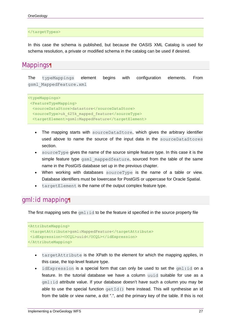</targetTypes>

In this case the schema is published, but because the OASIS XML Catalog is used for schema resolution, a private or modified schema in the catalog can be used if desired.

#### Mappings¶

The typeMappings element begins with configuration elements. From gsml\_MappedFeature.xml

```
<typeMappings>
<FeatureTypeMapping>
  <sourceDataStore>datastore</sourceDataStore>
  <sourceType>uk_625k_mapped_feature</sourceType>
  <targetElement>gsml:MappedFeature</targetElement>
```
- The mapping starts with sourceDataStore, which gives the arbitrary identifier used above to name the source of the input data in the sourceDataStores section.
- sourceType gives the name of the source simple feature type. In this case it is the simple feature type gsml mappedfeature, sourced from the table of the same name in the PostGIS database set up in the previous chapter.
- When working with databases sourceType is the name of a table or view. Database identifiers must be lowercase for PostGIS or uppercase for Oracle Spatial.
- $\bullet$  targetElement is the name of the output complex feature type.

#### gml:id mapping¶

The first mapping sets the  $qml$ :  $id$  to be the feature id specified in the source property file

```
<AttributeMapping>
<targetAttribute>gsml:MappedFeature</targetAttribute>
<idExpression><OCQL>uuid</OCQL></idExpression>
</AttributeMapping>
```
- targetAttribute is the XPath to the element for which the mapping applies, in this case, the top-level feature type.
- $\bullet$  idExpression is a special form that can only be used to set the  $gml:id$  on a feature. In the tutorial database we have a column uuid suitable for use as a gml:id attribute value. If your database doesn't have such a column you may be able to use the special function  $qetId()$  here instead. This will synthesise an id from the table or view name, a dot ".", and the primary key of the table. If this is not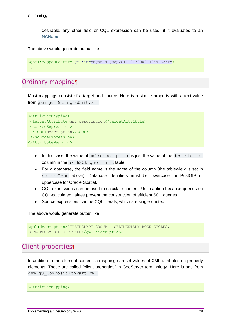desirable, any other field or CQL expression can be used, if it evaluates to an NCName.

The above would generate output like

```
<gsml:MappedFeature gml:id="bgsn_digmap20111213000014089_625k">
...
```
### Ordinary mapping¶

Most mappings consist of a target and source. Here is a simple property with a text value from gsmlgu GeologicUnit.xml

```
<AttributeMapping>
<targetAttribute>gml:description</targetAttribute>
<sourceExpression>
  <OCQL>description</OCQL>
</sourceExpression>
</AttributeMapping>
```
- In this case, the value of  $gml:description$  is just the value of the description column in the uk 625k geol unit table.
- For a database, the field name is the name of the column (the table/view is set in sourceType above). Database identifiers must be lowercase for PostGIS or uppercase for Oracle Spatial.
- CQL expressions can be used to calculate content. Use caution because queries on CQL-calculated values prevent the construction of efficient SQL queries.
- Source expressions can be CQL literals, which are single-quoted.

The above would generate output like

```
<gml:description>STRATHCLYDE GROUP - SEDIMENTARY ROCK CYCLES, 
  STRATHCLYDE GROUP TYPE</gml:description>
```
### Client properties¶

In addition to the element content, a mapping can set values of XML attributes on property elements. These are called "client properties" in GeoServer terminology. Here is one from gsmlgu\_CompositionPart.xml

<AttributeMapping>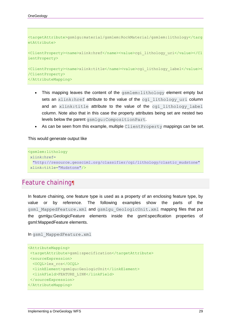```
<targetAttribute>gsmlgu:material/gsmlem:RockMaterial/gsmlem:lithology</targ
etAttribute>
<ClientProperty><name>xlink:href</name><value>cgi_lithology_uri</value></Cl
ientProperty>
<ClientProperty><name>xlink:title</name><value>cgi_lithology_label</value><
/ClientProperty>
</AttributeMapping>
```
- This mapping leaves the content of the gsmlem: lithology element empty but sets an xlink: href attribute to the value of the cgillithology uri column and an xlink:title attribute to the value of the cgi lithology label column. Note also that in this case the property attributes being set are nested two levels below the parent gsmlgu:CompositionPart.
- As can be seen from this example, multiple  $ClientProperty$  mappings can be set.

This would generate output like

```
<gsmlem:lithology
xlink:href=
  "http://resource.geosciml.org/classifier/cgi/lithology/clastic_mudstone" 
xlink:title="Mudstone"/>
```
### Feature chaining¶

In feature chaining, one feature type is used as a property of an enclosing feature type, by value or by reference. The following examples show the parts of the gsml MappedFeature.xml and gsmlgu GeologicUnit.xml mapping files that put the gsmlgu:GeologicFeature elements inside the gsml:specification properties of gsml:MappedFeature elements.

```
In gsml_MappedFeature.xml
```

```
<AttributeMapping>
<targetAttribute>gsml:specification</targetAttribute>
<sourceExpression>
  <OCQL>lex_rcs</OCQL>
  <linkElement>gsmlgu:GeologicUnit</linkElement>
  <linkField>FEATURE_LINK</linkField>
</sourceExpression>
</AttributeMapping>
```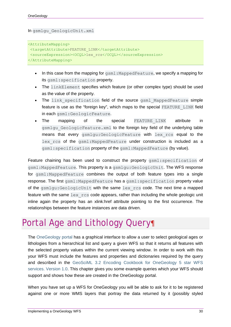In gsmlgu\_GeologicUnit.xml

<AttributeMapping> <targetAttribute>FEATURE\_LINK</targetAttribute> <sourceExpression><OCQL>lex\_rcs</OCQL></sourceExpression> </AttributeMapping>

- In this case from the mapping for  $qsm1:MappedFeature$ , we specify a mapping for its gsml:specification property.
- The linkElement specifies which feature (or other complex type) should be used as the value of the property.
- The link specification field of the source gsml MappedFeature simple feature is use as the "foreign key", which maps to the special FEATURE\_LINK field in each gsml:GeologicFeature.
- The mapping of the special FEATURE\_LINK attribute in gsmlgu GeologicFeature.xml to the foreign key field of the underlying table means that every gsmlgu:GeologicFeature with lex\_rcs equal to the lex rcs of the gsml:MappedFeature under construction is included as a gsml:specification property of the gsml:MappedFeature (by value).

Feature chaining has been used to construct the property gsml: specification of gsml:MappedFeature. This property is a gsmlgu:GeologicUnit. The WFS response for gsml:MappedFeature combines the output of both feature types into a single response. The first gsml: MappedFeature has a gsml: specification property value of the gsmlgu:GeologicUnit with the same lex\_rcs code. The next time a mapped feature with the same  $lex$  rcs code appears, rather than including the whole geologic unit inline again the property has an xlink:href attribute pointing to the first occurrence. The relationships between the feature instances are data driven.

## Portal Age and Lithology Query¶

The OneGeology portal has a graphical interface to allow a user to select geological ages or lithologies from a hierarchical list and query a given WFS so that it returns all features with the selected property values within the current viewing window. In order to work with this your WFS must include the features and properties and dictionaries required by the query and described in the GeoSciML 3.2 Encoding Cookbook for OneGeology 5 star WFS services. Version 1.0. This chapter gives you some example queries which your WFS should support and shows how these are created in the OneGeology portal.

When you have set up a WFS for OneGeology you will be able to ask for it to be registered against one or more WMS layers that portray the data returned by it (possibly styled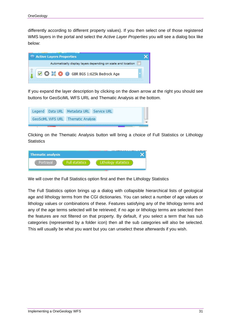differently according to different property values). If you then select one of those registered WMS layers in the portal and select the *Active Layer Properties* you will see a dialog box like below:



If you expand the layer description by clicking on the down arrow at the right you should see buttons for GeoSciML WFS URL and Thematic Analysis at the bottom.

|  | Legend Data URL Metadata URL Service URL |  |
|--|------------------------------------------|--|
|  | GeoSciML WFS URL Thematic Analysis       |  |
|  |                                          |  |

Clicking on the Thematic Analysis button will bring a choice of Full Statistics or Lithology **Statistics** 

| Thematic analysis | <b>TIL LIBRALIA L. F. HILL. L.ALBA</b><br>. . |
|-------------------|-----------------------------------------------|
|                   |                                               |
|                   |                                               |

We will cover the Full Statistics option first and then the Lithology Statistics

The Full Statistics option brings up a dialog with collapsible hierarchical lists of geological age and lithology terms from the CGI dictionaries. You can select a number of age values or lithology values or combinations of these. Features satisfying any of the lithology terms and any of the age terms selected will be retrieved; if no age or lithology terms are selected then the features are not filtered on that property. By default, if you select a term that has sub categories (represented by a folder icon) then all the sub categories will also be selected. This will usually be what you want but you can unselect these afterwards if you wish.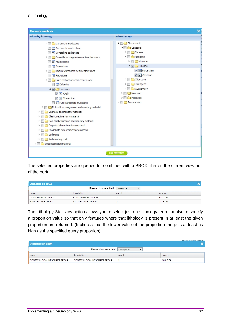| <b>Thematic analysis</b><br>x                                                  |                            |  |  |
|--------------------------------------------------------------------------------|----------------------------|--|--|
| <b>Filter by lithology</b>                                                     | <b>Filter by age</b>       |  |  |
| Carbonate mudstone                                                             | ▲ <b>A</b> Phanerozoic     |  |  |
| Carbonate wackestone                                                           | Cenozoic                   |  |  |
| <br>Crystalline carbonate                                                      | Eocene                     |  |  |
| Dolomitic or magnesian sedimentary rock                                        | Neogene                    |  |  |
| 국 Framestone                                                                   | Miocene<br>▷               |  |  |
| 국 Grainstone                                                                   | ▲ 7 <del>1</del> Pliocene  |  |  |
| Impure carbonate sedimentary rock                                              | V = Piacenzian             |  |  |
| 된 Packstone                                                                    | $\nabla$ $\equiv$ Zanclean |  |  |
| ▲ ■ ● Pure carbonate sedimentary rock                                          | Oligocene<br>⊳⊫            |  |  |
| Dolomite                                                                       | Paleogene                  |  |  |
| ▲ 7 <del>1</del> Limestone                                                     | Ouaternary                 |  |  |
| $\sqrt{2}$ Chalk                                                               | Mesozoic                   |  |  |
| $\nabla$ $\equiv$ Travertine                                                   | Paleozoic                  |  |  |
| Pure carbonate mudstone                                                        | Precambrian                |  |  |
| Dolomitic or magnesian sedimentary material<br>$\triangleright$ $\blacksquare$ |                            |  |  |
| Chemical sedimentary material<br>$\triangleright$ 1                            |                            |  |  |
| Clastic sedimentary material<br>▷                                              |                            |  |  |
| Non-clastic siliceous sedimentary material                                     |                            |  |  |
| Organic rich sedimentary material                                              |                            |  |  |
| Phosphate rich sedimentary material<br>▷                                       |                            |  |  |
| Sediment<br>▷                                                                  |                            |  |  |
| Sedimentary rock                                                               |                            |  |  |
| $\triangleright$ $\blacksquare$ Unconsolidated material                        |                            |  |  |
|                                                                                |                            |  |  |
|                                                                                | <b>Full statistics</b>     |  |  |

The selected properties are queried for combined with a BBOX filter on the current view port of the portal.

| Statistics on BBOX |                                    |       |         |
|--------------------|------------------------------------|-------|---------|
|                    | Please choose a field: Description |       |         |
| name               | translation                        | count | pcarea  |
| CLACKMANNAN GROUP  | CLACKMANNAN GROUP                  |       | 60.47%  |
| STRATHCLYDE GROUP  | STRATHCLYDE GROUP                  |       | 39.52 % |

The Lithology Statistics option allows you to select just one lithology term but also to specify a proportion value so that only features where that lithology is present in at least the given proportion are returned. (It checks that the lower value of the proportion range is at least as high as the specified query proportion).

| Statistics on BBOX           |                                    |       | <u>AURRIAN : ANY NISBAY</u><br>$\tilde{\phantom{a}}$ |
|------------------------------|------------------------------------|-------|------------------------------------------------------|
|                              | Please choose a field: Description |       |                                                      |
| name                         | translation                        | count | pcarea                                               |
| SCOTTISH COAL MEASURES GROUP | SCOTTISH COAL MEASURES GROUP       |       | 100.0%                                               |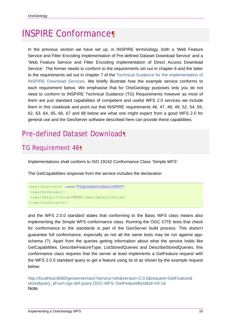# INSPIRE Conformance¶

In the previous section we have set up, in INSPIRE terminology, both a 'Web Feature Service and Filter Encoding Implementation of Pre-defined Dataset Download Service' and a 'Web Feature Service and Filter Encoding implementation of Direct Access Download Service'. The former needs to conform to the requirements set out in chapter 6 and the latter to the requirements set out in chapter 7 of the Technical Guidance for the implementation of INSPIRE Download Services. We briefly illustrate how the example service conforms to each requirement below. We emphasise that for OneGeology purposes only you do not need to conform to INSPIRE Technical Guidance (TG) Requirements however as most of them are just standard capabilities of competent and useful WFS 2.0 services we include them in this cookbook and point out that INSPIRE requirements 46, 47, 48, 49, 52, 54, 55, 62, 63, 64, 65, 66, 67 and 68 below are what one might expect from a good WFS 2.0 for general use and the GeoServer software described here can provide these capabilities.

## Pre-defined Dataset Download¶

### TG Requirement 46¶

Implementations shall conform to ISO 19142 Conformance Class 'Simple WFS'

The GetCapabilities response from the service includes the declaration

```
<ows:Constraint name="ImplementsBasicWFS">
<ows:NoValues/>
<ows:DefaultValue>TRUE</ows:DefaultValue>
</ows:Constraint>
```
and the WFS 2.0.0 standard states that conforming to the Basic WFS class means also implementing the Simple WFS conformance class. Running the OGC CITE tests that check for conformance to the standards is part of the GeoServer build process. This doesn't guarantee full conformance, especially as not all the same tests may be run against appschema (?). Apart from the queries getting information about what the service holds like GetCapabilities, DescribeFeatureType, ListStoredQueries and DescribeStoredQueries, this conformance class requires that the server at least implements a GetFeature request with the WFS 2.0.0 standard query to get a feature using its id as shown by the example request below:

http://localhost:8080/geoserver/ows?service=wfs&version=2.0.0&request=GetFeature& storedquery\_id=urn:ogc:def:query:OGC-WFS::GetFeatureById&id=mf.1& Note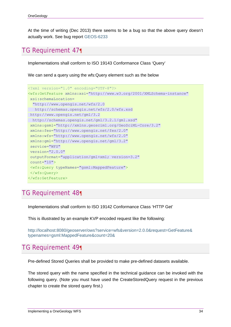At the time of writing (Dec 2013) there seems to be a bug so that the above query doesn't actually work. See bug report GEOS-6233

### TG Requirement 47¶

Implementations shall conform to ISO 19143 Conformance Class 'Query'

We can send a query using the wfs:Query element such as the below

```
<?xml version="1.0" encoding="UTF-8"?>
<wfs:GetFeature xmlns:xsi="http://www.w3.org/2001/XMLSchema-instance" 
 xsi:schemaLocation=
   "http://www.opengis.net/wfs/2.0 
    http://schemas.opengis.net/wfs/2.0/wfs.xsd 
  http://www.opengis.net/gml/3.2 
  http://schemas.opengis.net/gml/3.2.1/gml.xsd" 
 xmlns:gsml="http://xmlns.geosciml.org/GeoSciML-Core/3.2" 
 xmlns:fes="http://www.opengis.net/fes/2.0" 
 xmlns:wfs="http://www.opengis.net/wfs/2.0" 
 xmlns:gml="http://www.opengis.net/gml/3.2" 
 service="WFS" 
 version="2.0.0" 
 outputFormat="application/gml+xml; version=3.2" 
 count="10">
 <wfs:Query typeNames="gsml:MappedFeature">
 </wfs:Query>
</wfs:GetFeature>
```
### TG Requirement 48¶

Implementations shall conform to ISO 19142 Conformance Class 'HTTP Get'

This is illustrated by an example KVP encoded request like the following:

http://localhost:8080/geoserver/ows?service=wfs&version=2.0.0&request=GetFeature& typenames=gsml:MappedFeature&count=20&

### TG Requirement 49¶

Pre-defined Stored Queries shall be provided to make pre-defined datasets available.

The stored query with the name specified in the technical guidance can be invoked with the following query. (Note you must have used the CreateStoredQuery request in the previous chapter to create the stored query first.)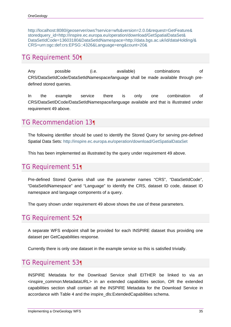http://localhost:8080/geoserver/ows?service=wfs&version=2.0.0&request=GetFeature& storedquery\_id=http://inspire.ec.europa.eu/operation/download/GetSpatialDataSet& DataSetIdCode=13603180&DataSetIdNamespace=http://data.bgs.ac.uk/id/dataHolding/& CRS=urn:ogc:def:crs:EPSG::4326&Language=eng&count=20&

### TG Requirement 50¶

Any possible (i.e. available) combinations of CRS/DataSetIdCode/DataSetIdNamespace/language shall be made available through predefined stored queries.

In the example service there is only one combination of CRS/DataSetIDCode/DataSetIdNamespace/language available and that is illustrated under requirement 49 above.

### TG Recommendation 13¶

The following identifier should be used to identify the Stored Query for serving pre-defined Spatial Data Sets: http://inspire.ec.europa.eu/operation/download/GetSpatialDataSet

This has been implemented as illustrated by the query under requirement 49 above.

### TG Requirement 51¶

Pre-defined Stored Queries shall use the parameter names "CRS", "DataSetIdCode", "DataSetIdNamespace" and "Language" to identify the CRS, dataset ID code, dataset ID namespace and language components of a query.

The query shown under requirement 49 above shows the use of these parameters.

### TG Requirement 52¶

A separate WFS endpoint shall be provided for each INSPIRE dataset thus providing one dataset per GetCapabilities response.

Currently there is only one dataset in the example service so this is satisfied trivially.

### TG Requirement 53¶

INSPIRE Metadata for the Download Service shall EITHER be linked to via an <inspire\_common:MetadataURL> in an extended capabilities section, OR the extended capabilities section shall contain all the INSPIRE Metadata for the Download Service in accordance with Table 4 and the inspire\_dls:ExtendedCapabilities schema.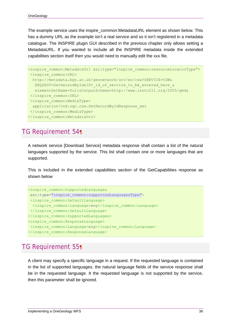The example service uses the inspire\_common:MetadataURL element as shown below. This has a dummy URL as the example isn't a real service and so it isn't registered in a metadata catalogue. The INSPIRE plugin GUI described in the previous chapter only allows setting a MetadataURL. If you wanted to include all the INSPIRE metadata inside the extended capabilities section itself then you would need to manually edit the xxx file.

```
<inspire_common:MetadataUrl xsi:type="inspire_common:resourceLocatorType"> 
 <inspire_common:URL> 
  http://metadata.bgs.ac.uk/geonetwork/srv/en/csw?SERVICE=CSW& 
  REQUEST=GetRecordById&ID= id of service to be entered here &
   elementSetName=full&OutputSchema=http://www.isotc211.org/2005/gmd& 
 </inspire_common:URL> 
 <inspire_common:MediaType> 
  application/vnd.ogc.csw.GetRecordByIdResponse_xml 
 </inspire_common:MediaType> 
</inspire_common:MetadataUrl>
```
### TG Requirement 54¶

A network service [Download Service] metadata response shall contain a list of the natural languages supported by the service. This list shall contain one or more languages that are supported.

This is included in the extended capabilities section of the GetCapabilities response as shown below

```
<inspire_common:SupportedLanguages
xsi:type="inspire_common:supportedLanguagesType">
<inspire_common:DefaultLanguage>
  <inspire_common:Language>eng</inspire_common:Language>
</inspire_common:DefaultLanguage>
</inspire_common:SupportedLanguages>
<inspire_common:ResponseLanguage>
<inspire_common:Language>eng</inspire_common:Language>
</inspire_common:ResponseLanguage>
```
### TG Requirement 55¶

A client may specify a specific language in a request. If the requested language is contained in the list of supported languages, the natural language fields of the service response shall be in the requested language. It the requested language is not supported by the service, then this parameter shall be ignored.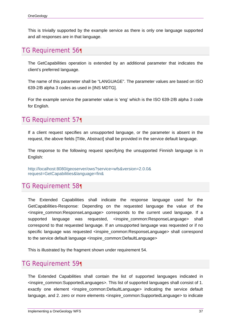This is trivially supported by the example service as there is only one language supported and all responses are in that language.

### TG Requirement 56¶

The GetCapabilities operation is extended by an additional parameter that indicates the client's preferred language.

The name of this parameter shall be "LANGUAGE". The parameter values are based on ISO 639-2/B alpha 3 codes as used in [INS MDTG].

For the example service the parameter value is 'eng' which is the ISO 639-2/B alpha 3 code for English.

### TG Requirement 57¶

If a client request specifies an unsupported language, or the parameter is absent in the request, the above fields [Title, Abstract] shall be provided in the service default language.

The response to the following request specifying the unsupported Finnish language is in English:

http://localhost:8080/geoserver/ows?service=wfs&version=2.0.0& request=GetCapabilities&language=fin&

### TG Requirement 58¶

The Extended Capabilities shall indicate the response language used for the GetCapabilities-Response: Depending on the requested language the value of the <inspire\_common:ResponseLanguage> corresponds to the current used language. If a supported language was requested, <inspire\_common:ResponseLanguage> shall correspond to that requested language. If an unsupported language was requested or if no specific language was requested <inspire\_common:ResponseLanguage> shall correspond to the service default language <inspire\_common:DefaultLanguage>

This is illustrated by the fragment shown under requirement 54.

### TG Requirement 59¶

The Extended Capabilities shall contain the list of supported languages indicated in <inspire\_common:SupportedLanguages>. This list of supported languages shall consist of 1. exactly one element <inspire\_common:DefaultLanguage> indicating the service default language, and 2. zero or more elements <inspire\_common:SupportedLanguage> to indicate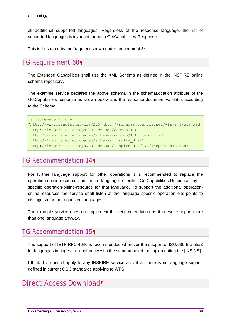all additional supported languages. Regardless of the response language, the list of supported languages is invariant for each GetCapabilities-Response.

This is illustrated by the fragment shown under requirement 54.

### TG Requirement 60¶

The Extended Capabilities shall use the XML Schema as defined in the INSPIRE online schema repository.

The example service declares the above schema in the schemaLocation attribute of the GetCapabilities response as shown below and the response document validates according to the Schema.

```
xsi:schemaLocation= 
"http://www.opengis.net/wfs/2.0 http://schemas.opengis.net/wfs/2.0/wfs.xsd 
 http://inspire.ec.europa.eu/schemas/common/1.0 
  http://inspire.ec.europa.eu/schemas/common/1.0/common.xsd 
  http://inspire.ec.europa.eu/schemas/inspire_dls/1.0 
  http://inspire.ec.europa.eu/schemas/inspire_dls/1.0/inspire_dls.xsd"
```
### TG Recommendation 14¶

For further language support for other operations it is recommended to replace the operation-online-resources in each language specific GetCapabilities-Response by a specific operation-online-resource for that language. To support the additional operationonline-resources the service shall listen at the language specific operation end-points to distinguish for the requested languages.

The example service does not implement this recommendation as it doesn't support more than one language anyway.

### TG Recommendation 15¶

The support of IETF RFC 4646 is recommended wherever the support of ISO/639 B alpha3 for languages infringes the conformity with the standard used for implementing the [INS NS].

I think this doesn't apply to any INSPIRE service as yet as there is no language support defined in current OGC standards applying to WFS.

### Direct Access Download¶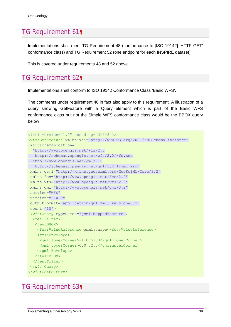### TG Requirement 61¶

Implementations shall meet TG Requirement 48 (conformance to [ISO 19142] 'HTTP GET' conformance class) and TG Requirement 52 (one endpoint for each INSPIRE dataset).

This is covered under requirements 48 and 52 above.

#### TG Requirement 62¶

Implementations shall conform to ISO 19142 Conformance Class 'Basic WFS'.

The comments under requirement 46 in fact also apply to this requirement. A illustration of a query showing GetFeature with a Query element which is part of the Basic WFS conformance class but not the Simple WFS conformance class would be the BBOX query below

```
<?xml version="1.0" encoding="UTF-8"?>
<wfs:GetFeature xmlns:xsi="http://www.w3.org/2001/XMLSchema-instance" 
 xsi:schemaLocation=
   "http://www.opengis.net/wfs/2.0 
   http://schemas.opengis.net/wfs/2.0/wfs.xsd 
  http://www.opengis.net/gml/3.2 
    http://schemas.opengis.net/gml/3.2.1/gml.xsd" 
 xmlns:gsml="http://xmlns.geosciml.org/GeoSciML-Core/3.2" 
 xmlns:fes="http://www.opengis.net/fes/2.0" 
 xmlns:wfs="http://www.opengis.net/wfs/2.0" 
 xmlns:gml="http://www.opengis.net/gml/3.2" 
 service="WFS" 
 version="2.0.0" 
 outputFormat="application/gml+xml; version=3.2" 
 count="10">
 <wfs:Query typeNames="gsml:MappedFeature">
  <fes:Filter>
    <fes:BBOX>
     <fes:ValueReference>gsml:shape</fes:ValueReference>
     <gml:Envelope>
      <gml:lowerCorner>-1.0 51.0</gml:lowerCorner>
      <gml:upperCorner>0.0 52.0</gml:upperCorner>
     </gml:Envelope>
    </fes:BBOX>
   </fes:Filter>
 </wfs:Query>
</wfs:GetFeature>
```
### TG Requirement 63¶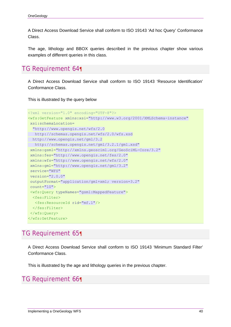A Direct Access Download Service shall conform to ISO 19143 'Ad hoc Query' Conformance Class.

The age, lithology and BBOX queries described in the previous chapter show various examples of different queries in this class.

```
TG Requirement 64¶
```
A Direct Access Download Service shall conform to ISO 19143 'Resource Identification' Conformance Class.

This is illustrated by the query below

```
<?xml version="1.0" encoding="UTF-8"?>
<wfs:GetFeature xmlns:xsi="http://www.w3.org/2001/XMLSchema-instance" 
xsi:schemaLocation=
   "http://www.opengis.net/wfs/2.0 
   http://schemas.opengis.net/wfs/2.0/wfs.xsd 
  http://www.opengis.net/gml/3.2 
    http://schemas.opengis.net/gml/3.2.1/gml.xsd" 
 xmlns:gsml="http://xmlns.geosciml.org/GeoSciML-Core/3.2" 
 xmlns:fes="http://www.opengis.net/fes/2.0" 
 xmlns:wfs="http://www.opengis.net/wfs/2.0" 
 xmlns:gml="http://www.opengis.net/gml/3.2" 
 service="WFS" 
 version="2.0.0" 
 outputFormat="application/gml+xml; version=3.2" 
 count="10">
 <wfs:Query typeNames="gsml:MappedFeature">
  <fes:Filter>
    <fes:ResourceId rid="mf.1"/>
  </fes:Filter>
 </wfs:Query>
</wfs:GetFeature>
```
### TG Requirement 65¶

A Direct Access Download Service shall conform to ISO 19143 'Minimum Standard Filter' Conformance Class.

This is illustrated by the age and lithology queries in the previous chapter.

### TG Requirement 66¶